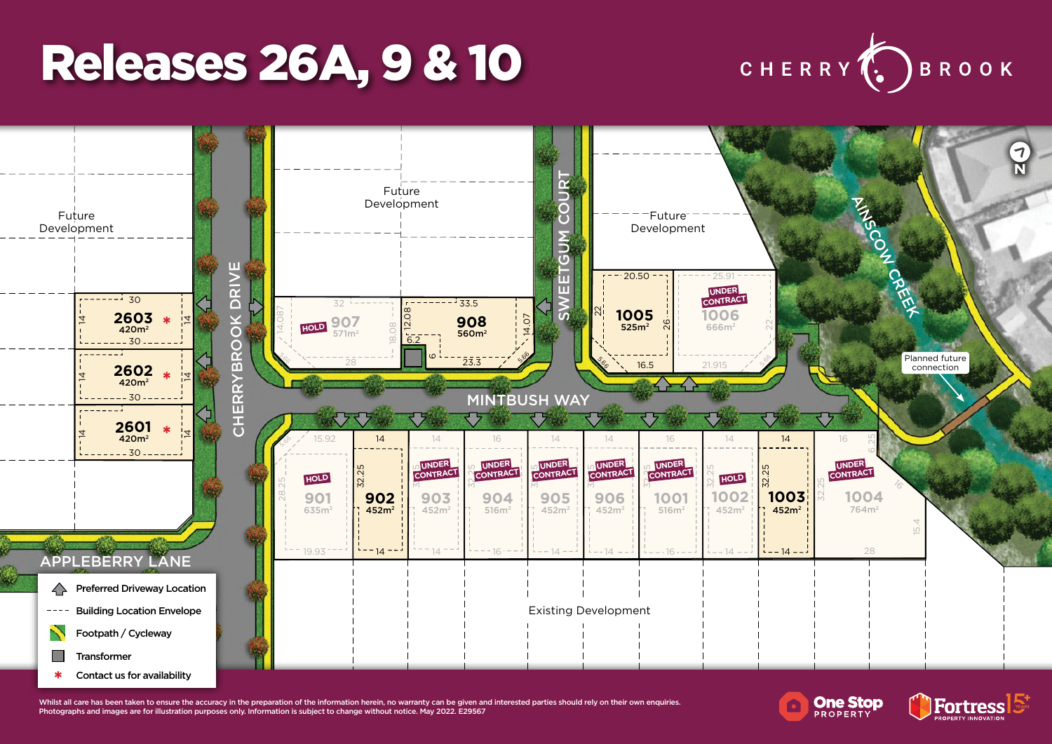## Releases 26A, 9 & 10





Whilst all care has been taken to ensure the accuracy in the preparation of the information herein, no warranty can be given and interested parties should rely on their own enquiries. Photographs and images are for illustration purposes only. Information is subject to change without notice. May 2022. E29567